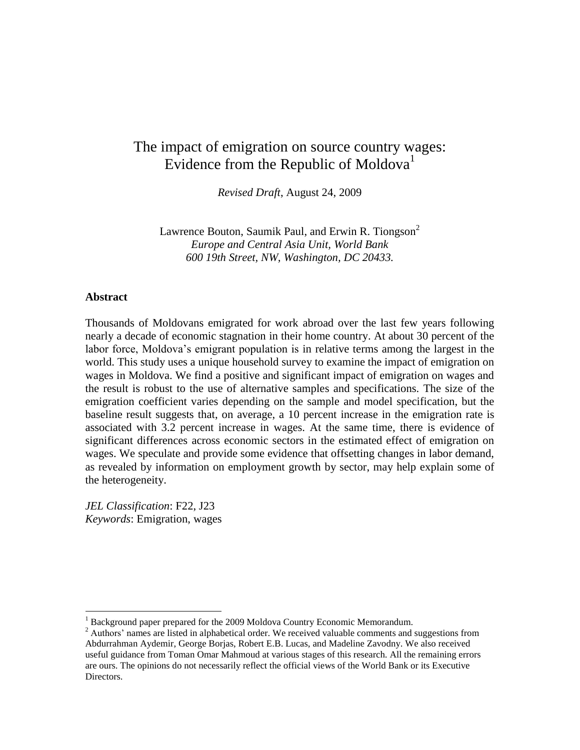# The impact of emigration on source country wages: Evidence from the Republic of Moldova<sup>1</sup>

*Revised Draft*, August 24, 2009

Lawrence Bouton, Saumik Paul, and Erwin R. Tiongson<sup>2</sup> *Europe and Central Asia Unit, World Bank 600 19th Street, NW, Washington, DC 20433.*

## **Abstract**

 $\overline{a}$ 

Thousands of Moldovans emigrated for work abroad over the last few years following nearly a decade of economic stagnation in their home country. At about 30 percent of the labor force, Moldova's emigrant population is in relative terms among the largest in the world. This study uses a unique household survey to examine the impact of emigration on wages in Moldova. We find a positive and significant impact of emigration on wages and the result is robust to the use of alternative samples and specifications. The size of the emigration coefficient varies depending on the sample and model specification, but the baseline result suggests that, on average, a 10 percent increase in the emigration rate is associated with 3.2 percent increase in wages. At the same time, there is evidence of significant differences across economic sectors in the estimated effect of emigration on wages. We speculate and provide some evidence that offsetting changes in labor demand, as revealed by information on employment growth by sector, may help explain some of the heterogeneity.

*JEL Classification*: F22, J23 *Keywords*: Emigration, wages

<sup>&</sup>lt;sup>1</sup> Background paper prepared for the 2009 Moldova Country Economic Memorandum.

<sup>&</sup>lt;sup>2</sup> Authors' names are listed in alphabetical order. We received valuable comments and suggestions from Abdurrahman Aydemir, George Borjas, Robert E.B. Lucas, and Madeline Zavodny. We also received useful guidance from Toman Omar Mahmoud at various stages of this research. All the remaining errors are ours. The opinions do not necessarily reflect the official views of the World Bank or its Executive Directors.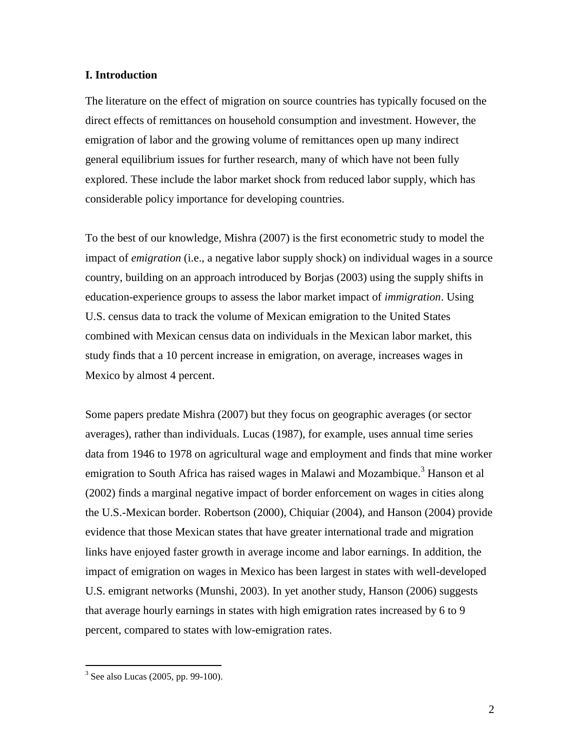### **I. Introduction**

The literature on the effect of migration on source countries has typically focused on the direct effects of remittances on household consumption and investment. However, the emigration of labor and the growing volume of remittances open up many indirect general equilibrium issues for further research, many of which have not been fully explored. These include the labor market shock from reduced labor supply, which has considerable policy importance for developing countries.

To the best of our knowledge, Mishra (2007) is the first econometric study to model the impact of *emigration* (i.e., a negative labor supply shock) on individual wages in a source country, building on an approach introduced by Borjas (2003) using the supply shifts in education-experience groups to assess the labor market impact of *immigration*. Using U.S. census data to track the volume of Mexican emigration to the United States combined with Mexican census data on individuals in the Mexican labor market, this study finds that a 10 percent increase in emigration, on average, increases wages in Mexico by almost 4 percent.

Some papers predate Mishra (2007) but they focus on geographic averages (or sector averages), rather than individuals. Lucas (1987), for example, uses annual time series data from 1946 to 1978 on agricultural wage and employment and finds that mine worker emigration to South Africa has raised wages in Malawi and Mozambique.<sup>3</sup> Hanson et al (2002) finds a marginal negative impact of border enforcement on wages in cities along the U.S.-Mexican border. Robertson (2000), Chiquiar (2004), and Hanson (2004) provide evidence that those Mexican states that have greater international trade and migration links have enjoyed faster growth in average income and labor earnings. In addition, the impact of emigration on wages in Mexico has been largest in states with well-developed U.S. emigrant networks (Munshi, 2003). In yet another study, Hanson (2006) suggests that average hourly earnings in states with high emigration rates increased by 6 to 9 percent, compared to states with low-emigration rates.

 3 See also Lucas (2005, pp. 99-100).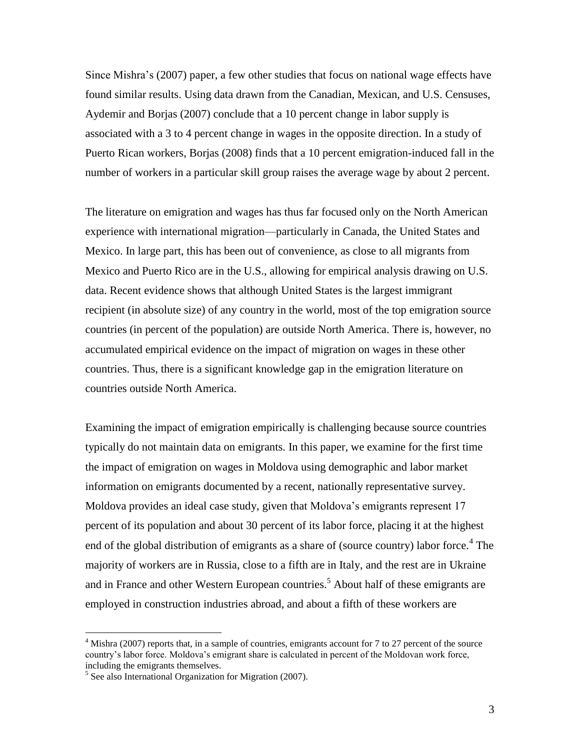Since Mishra's (2007) paper, a few other studies that focus on national wage effects have found similar results. Using data drawn from the Canadian, Mexican, and U.S. Censuses, Aydemir and Borjas (2007) conclude that a 10 percent change in labor supply is associated with a 3 to 4 percent change in wages in the opposite direction. In a study of Puerto Rican workers, Borjas (2008) finds that a 10 percent emigration-induced fall in the number of workers in a particular skill group raises the average wage by about 2 percent.

The literature on emigration and wages has thus far focused only on the North American experience with international migration—particularly in Canada, the United States and Mexico. In large part, this has been out of convenience, as close to all migrants from Mexico and Puerto Rico are in the U.S., allowing for empirical analysis drawing on U.S. data. Recent evidence shows that although United States is the largest immigrant recipient (in absolute size) of any country in the world, most of the top emigration source countries (in percent of the population) are outside North America. There is, however, no accumulated empirical evidence on the impact of migration on wages in these other countries. Thus, there is a significant knowledge gap in the emigration literature on countries outside North America.

Examining the impact of emigration empirically is challenging because source countries typically do not maintain data on emigrants. In this paper, we examine for the first time the impact of emigration on wages in Moldova using demographic and labor market information on emigrants documented by a recent, nationally representative survey. Moldova provides an ideal case study, given that Moldova's emigrants represent 17 percent of its population and about 30 percent of its labor force, placing it at the highest end of the global distribution of emigrants as a share of (source country) labor force.<sup>4</sup> The majority of workers are in Russia, close to a fifth are in Italy, and the rest are in Ukraine and in France and other Western European countries.<sup>5</sup> About half of these emigrants are employed in construction industries abroad, and about a fifth of these workers are

 $4$  Mishra (2007) reports that, in a sample of countries, emigrants account for 7 to 27 percent of the source country's labor force. Moldova's emigrant share is calculated in percent of the Moldovan work force, including the emigrants themselves.

<sup>&</sup>lt;sup>5</sup> See also International Organization for Migration (2007).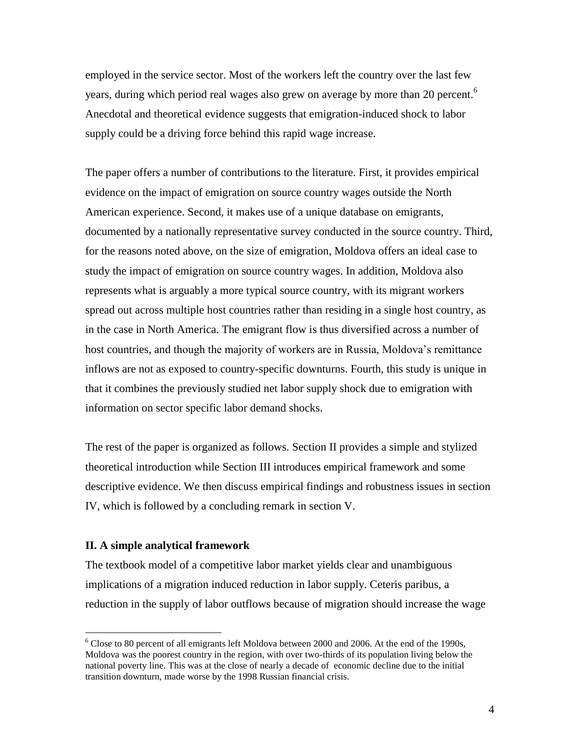employed in the service sector. Most of the workers left the country over the last few years, during which period real wages also grew on average by more than 20 percent.<sup>6</sup> Anecdotal and theoretical evidence suggests that emigration-induced shock to labor supply could be a driving force behind this rapid wage increase.

The paper offers a number of contributions to the literature. First, it provides empirical evidence on the impact of emigration on source country wages outside the North American experience. Second, it makes use of a unique database on emigrants, documented by a nationally representative survey conducted in the source country. Third, for the reasons noted above, on the size of emigration, Moldova offers an ideal case to study the impact of emigration on source country wages. In addition, Moldova also represents what is arguably a more typical source country, with its migrant workers spread out across multiple host countries rather than residing in a single host country, as in the case in North America. The emigrant flow is thus diversified across a number of host countries, and though the majority of workers are in Russia, Moldova's remittance inflows are not as exposed to country-specific downturns. Fourth, this study is unique in that it combines the previously studied net labor supply shock due to emigration with information on sector specific labor demand shocks.

The rest of the paper is organized as follows. Section II provides a simple and stylized theoretical introduction while Section III introduces empirical framework and some descriptive evidence. We then discuss empirical findings and robustness issues in section IV, which is followed by a concluding remark in section V.

#### **II. A simple analytical framework**

 $\overline{a}$ 

The textbook model of a competitive labor market yields clear and unambiguous implications of a migration induced reduction in labor supply. Ceteris paribus, a reduction in the supply of labor outflows because of migration should increase the wage

 $6$  Close to 80 percent of all emigrants left Moldova between 2000 and 2006. At the end of the 1990s, Moldova was the poorest country in the region, with over two-thirds of its population living below the national poverty line. This was at the close of nearly a decade of economic decline due to the initial transition downturn, made worse by the 1998 Russian financial crisis.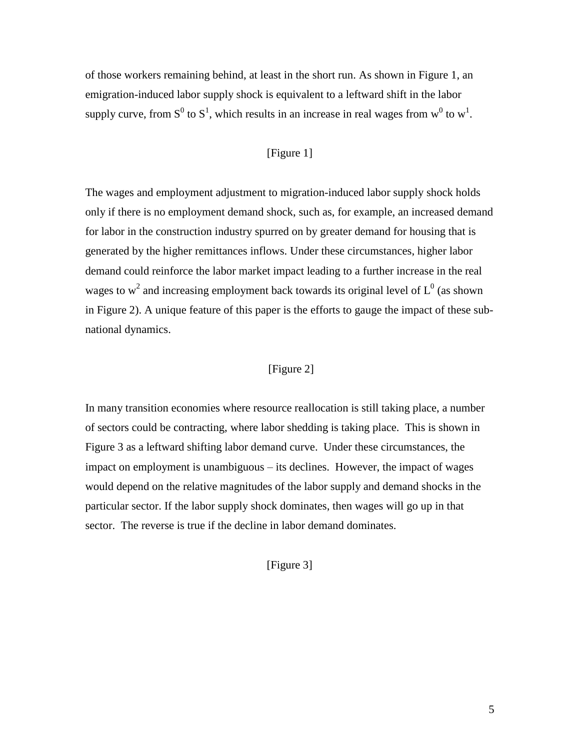of those workers remaining behind, at least in the short run. As shown in Figure 1, an emigration-induced labor supply shock is equivalent to a leftward shift in the labor supply curve, from  $S^0$  to  $S^1$ , which results in an increase in real wages from  $w^0$  to  $w^1$ .

## [Figure 1]

The wages and employment adjustment to migration-induced labor supply shock holds only if there is no employment demand shock, such as, for example, an increased demand for labor in the construction industry spurred on by greater demand for housing that is generated by the higher remittances inflows. Under these circumstances, higher labor demand could reinforce the labor market impact leading to a further increase in the real wages to w<sup>2</sup> and increasing employment back towards its original level of  $L^0$  (as shown in Figure 2). A unique feature of this paper is the efforts to gauge the impact of these subnational dynamics.

## [Figure 2]

In many transition economies where resource reallocation is still taking place, a number of sectors could be contracting, where labor shedding is taking place. This is shown in Figure 3 as a leftward shifting labor demand curve. Under these circumstances, the impact on employment is unambiguous – its declines. However, the impact of wages would depend on the relative magnitudes of the labor supply and demand shocks in the particular sector. If the labor supply shock dominates, then wages will go up in that sector. The reverse is true if the decline in labor demand dominates.

[Figure 3]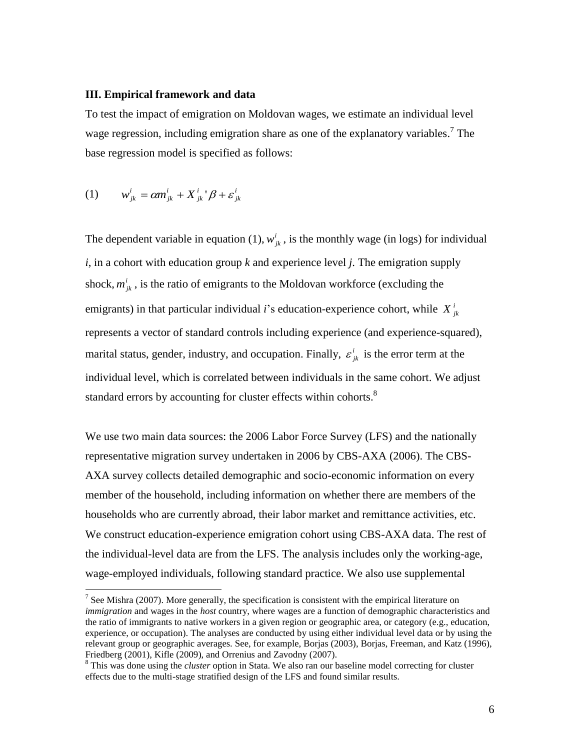#### **III. Empirical framework and data**

To test the impact of emigration on Moldovan wages, we estimate an individual level wage regression, including emigration share as one of the explanatory variables.<sup>7</sup> The base regression model is specified as follows:

(1) 
$$
w_{jk}^{i} = \alpha m_{jk}^{i} + X_{jk}^{i} + \beta + \varepsilon_{jk}^{i}
$$

 $\overline{a}$ 

The dependent variable in equation (1),  $w^i_{jk}$ , is the monthly wage (in logs) for individual *i*, in a cohort with education group *k* and experience level *j*. The emigration supply shock,  $m^i_{jk}$ , is the ratio of emigrants to the Moldovan workforce (excluding the emigrants) in that particular individual *i*'s education-experience cohort, while  $X_{jk}^i$ represents a vector of standard controls including experience (and experience-squared), marital status, gender, industry, and occupation. Finally,  $\varepsilon_{jk}^i$  is the error term at the individual level, which is correlated between individuals in the same cohort. We adjust standard errors by accounting for cluster effects within cohorts.<sup>8</sup>

We use two main data sources: the 2006 Labor Force Survey (LFS) and the nationally representative migration survey undertaken in 2006 by CBS-AXA (2006). The CBS-AXA survey collects detailed demographic and socio-economic information on every member of the household, including information on whether there are members of the households who are currently abroad, their labor market and remittance activities, etc. We construct education-experience emigration cohort using CBS-AXA data. The rest of the individual-level data are from the LFS. The analysis includes only the working-age, wage-employed individuals, following standard practice. We also use supplemental

<sup>&</sup>lt;sup>7</sup> See Mishra (2007). More generally, the specification is consistent with the empirical literature on *immigration* and wages in the *host* country, where wages are a function of demographic characteristics and the ratio of immigrants to native workers in a given region or geographic area, or category (e.g., education, experience, or occupation). The analyses are conducted by using either individual level data or by using the relevant group or geographic averages. See, for example, Borjas (2003), Borjas, Freeman, and Katz (1996), Friedberg (2001), Kifle (2009), and Orrenius and Zavodny (2007).

<sup>&</sup>lt;sup>8</sup> This was done using the *cluster* option in Stata. We also ran our baseline model correcting for cluster effects due to the multi-stage stratified design of the LFS and found similar results.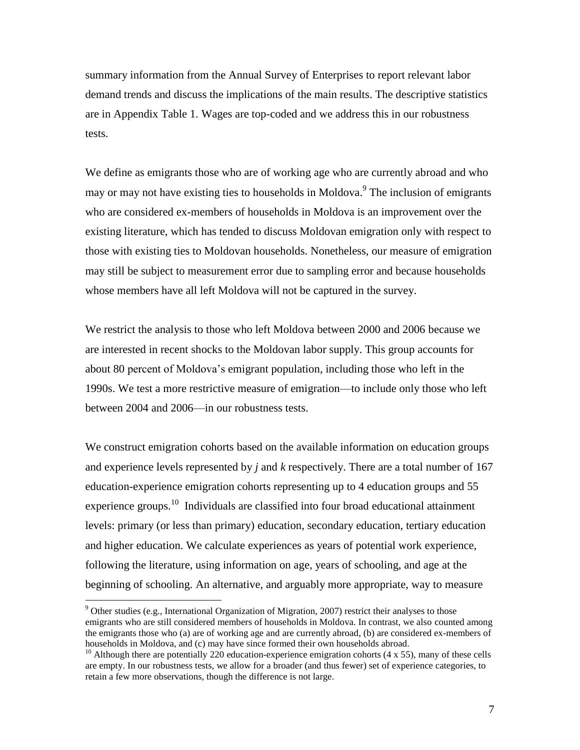summary information from the Annual Survey of Enterprises to report relevant labor demand trends and discuss the implications of the main results. The descriptive statistics are in Appendix Table 1. Wages are top-coded and we address this in our robustness tests.

We define as emigrants those who are of working age who are currently abroad and who may or may not have existing ties to households in Moldova.<sup>9</sup> The inclusion of emigrants who are considered ex-members of households in Moldova is an improvement over the existing literature, which has tended to discuss Moldovan emigration only with respect to those with existing ties to Moldovan households. Nonetheless, our measure of emigration may still be subject to measurement error due to sampling error and because households whose members have all left Moldova will not be captured in the survey.

We restrict the analysis to those who left Moldova between 2000 and 2006 because we are interested in recent shocks to the Moldovan labor supply. This group accounts for about 80 percent of Moldova's emigrant population, including those who left in the 1990s. We test a more restrictive measure of emigration—to include only those who left between 2004 and 2006—in our robustness tests.

We construct emigration cohorts based on the available information on education groups and experience levels represented by *j* and *k* respectively. There are a total number of 167 education-experience emigration cohorts representing up to 4 education groups and 55 experience groups.<sup>10</sup> Individuals are classified into four broad educational attainment levels: primary (or less than primary) education, secondary education, tertiary education and higher education. We calculate experiences as years of potential work experience, following the literature, using information on age, years of schooling, and age at the beginning of schooling. An alternative, and arguably more appropriate, way to measure

 $9$  Other studies (e.g., International Organization of Migration, 2007) restrict their analyses to those emigrants who are still considered members of households in Moldova. In contrast, we also counted among the emigrants those who (a) are of working age and are currently abroad, (b) are considered ex-members of households in Moldova, and (c) may have since formed their own households abroad.

<sup>&</sup>lt;sup>10</sup> Although there are potentially 220 education-experience emigration cohorts (4 x 55), many of these cells are empty. In our robustness tests, we allow for a broader (and thus fewer) set of experience categories, to retain a few more observations, though the difference is not large.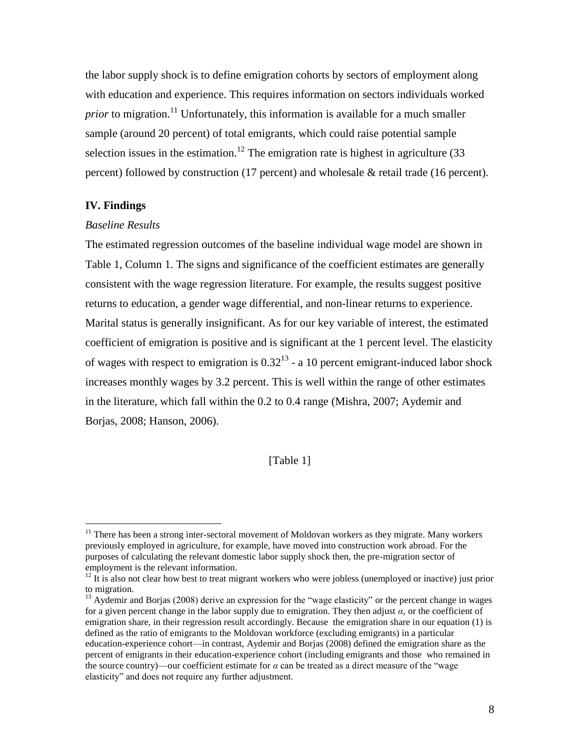the labor supply shock is to define emigration cohorts by sectors of employment along with education and experience. This requires information on sectors individuals worked *prior* to migration.<sup>11</sup> Unfortunately, this information is available for a much smaller sample (around 20 percent) of total emigrants, which could raise potential sample selection issues in the estimation.<sup>12</sup> The emigration rate is highest in agriculture (33) percent) followed by construction (17 percent) and wholesale & retail trade (16 percent).

## **IV. Findings**

 $\overline{a}$ 

#### *Baseline Results*

The estimated regression outcomes of the baseline individual wage model are shown in Table 1, Column 1. The signs and significance of the coefficient estimates are generally consistent with the wage regression literature. For example, the results suggest positive returns to education, a gender wage differential, and non-linear returns to experience. Marital status is generally insignificant. As for our key variable of interest, the estimated coefficient of emigration is positive and is significant at the 1 percent level. The elasticity of wages with respect to emigration is  $0.32^{13}$  - a 10 percent emigrant-induced labor shock increases monthly wages by 3.2 percent. This is well within the range of other estimates in the literature, which fall within the 0.2 to 0.4 range (Mishra, 2007; Aydemir and Borjas, 2008; Hanson, 2006).

## [Table 1]

 $11$  There has been a strong inter-sectoral movement of Moldovan workers as they migrate. Many workers previously employed in agriculture, for example, have moved into construction work abroad. For the purposes of calculating the relevant domestic labor supply shock then, the pre-migration sector of employment is the relevant information.

 $12 \text{ It is also not clear how best to treat migration workers who were jobless (unemployed or inactive) just prior.}$ to migration.

 $13$  Aydemir and Borjas (2008) derive an expression for the "wage elasticity" or the percent change in wages for a given percent change in the labor supply due to emigration. They then adjust *α*, or the coefficient of emigration share, in their regression result accordingly. Because the emigration share in our equation (1) is defined as the ratio of emigrants to the Moldovan workforce (excluding emigrants) in a particular education-experience cohort—in contrast, Aydemir and Borjas (2008) defined the emigration share as the percent of emigrants in their education-experience cohort (including emigrants and those who remained in the source country)—our coefficient estimate for  $\alpha$  can be treated as a direct measure of the "wage" elasticity" and does not require any further adjustment.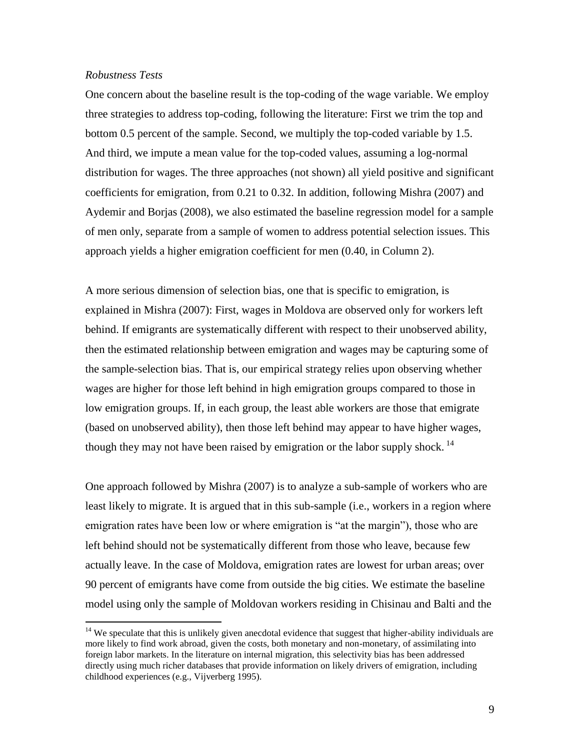## *Robustness Tests*

 $\overline{a}$ 

One concern about the baseline result is the top-coding of the wage variable. We employ three strategies to address top-coding, following the literature: First we trim the top and bottom 0.5 percent of the sample. Second, we multiply the top-coded variable by 1.5. And third, we impute a mean value for the top-coded values, assuming a log-normal distribution for wages. The three approaches (not shown) all yield positive and significant coefficients for emigration, from 0.21 to 0.32. In addition, following Mishra (2007) and Aydemir and Borjas (2008), we also estimated the baseline regression model for a sample of men only, separate from a sample of women to address potential selection issues. This approach yields a higher emigration coefficient for men (0.40, in Column 2).

A more serious dimension of selection bias, one that is specific to emigration, is explained in Mishra (2007): First, wages in Moldova are observed only for workers left behind. If emigrants are systematically different with respect to their unobserved ability, then the estimated relationship between emigration and wages may be capturing some of the sample-selection bias. That is, our empirical strategy relies upon observing whether wages are higher for those left behind in high emigration groups compared to those in low emigration groups. If, in each group, the least able workers are those that emigrate (based on unobserved ability), then those left behind may appear to have higher wages, though they may not have been raised by emigration or the labor supply shock.<sup>14</sup>

One approach followed by Mishra (2007) is to analyze a sub-sample of workers who are least likely to migrate. It is argued that in this sub-sample (i.e., workers in a region where emigration rates have been low or where emigration is "at the margin"), those who are left behind should not be systematically different from those who leave, because few actually leave. In the case of Moldova, emigration rates are lowest for urban areas; over 90 percent of emigrants have come from outside the big cities. We estimate the baseline model using only the sample of Moldovan workers residing in Chisinau and Balti and the

 $14$  We speculate that this is unlikely given anecdotal evidence that suggest that higher-ability individuals are more likely to find work abroad, given the costs, both monetary and non-monetary, of assimilating into foreign labor markets. In the literature on internal migration, this selectivity bias has been addressed directly using much richer databases that provide information on likely drivers of emigration, including childhood experiences (e.g., Vijverberg 1995).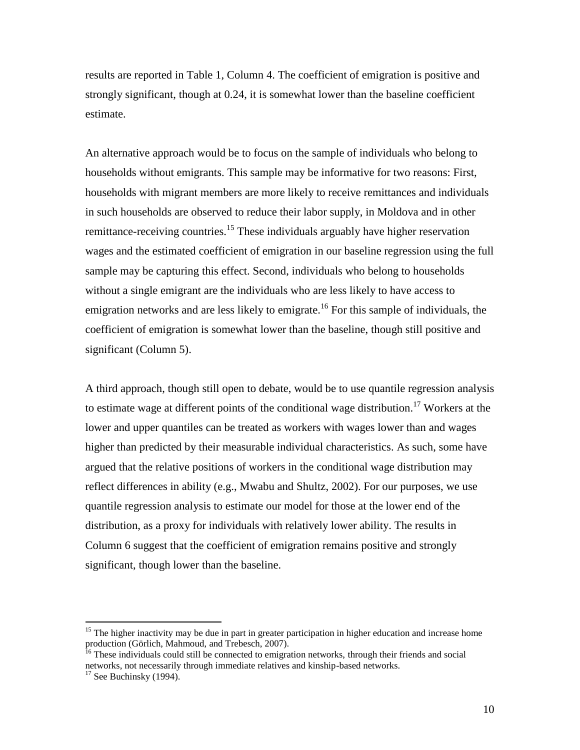results are reported in Table 1, Column 4. The coefficient of emigration is positive and strongly significant, though at 0.24, it is somewhat lower than the baseline coefficient estimate.

An alternative approach would be to focus on the sample of individuals who belong to households without emigrants. This sample may be informative for two reasons: First, households with migrant members are more likely to receive remittances and individuals in such households are observed to reduce their labor supply, in Moldova and in other remittance-receiving countries.<sup>15</sup> These individuals arguably have higher reservation wages and the estimated coefficient of emigration in our baseline regression using the full sample may be capturing this effect. Second, individuals who belong to households without a single emigrant are the individuals who are less likely to have access to emigration networks and are less likely to emigrate.<sup>16</sup> For this sample of individuals, the coefficient of emigration is somewhat lower than the baseline, though still positive and significant (Column 5).

A third approach, though still open to debate, would be to use quantile regression analysis to estimate wage at different points of the conditional wage distribution.<sup>17</sup> Workers at the lower and upper quantiles can be treated as workers with wages lower than and wages higher than predicted by their measurable individual characteristics. As such, some have argued that the relative positions of workers in the conditional wage distribution may reflect differences in ability (e.g., Mwabu and Shultz, 2002). For our purposes, we use quantile regression analysis to estimate our model for those at the lower end of the distribution, as a proxy for individuals with relatively lower ability. The results in Column 6 suggest that the coefficient of emigration remains positive and strongly significant, though lower than the baseline.

<sup>&</sup>lt;sup>15</sup> The higher inactivity may be due in part in greater participation in higher education and increase home production (Görlich, Mahmoud, and Trebesch, 2007).

<sup>&</sup>lt;sup>16</sup> These individuals could still be connected to emigration networks, through their friends and social networks, not necessarily through immediate relatives and kinship-based networks.

 $17$  See Buchinsky (1994).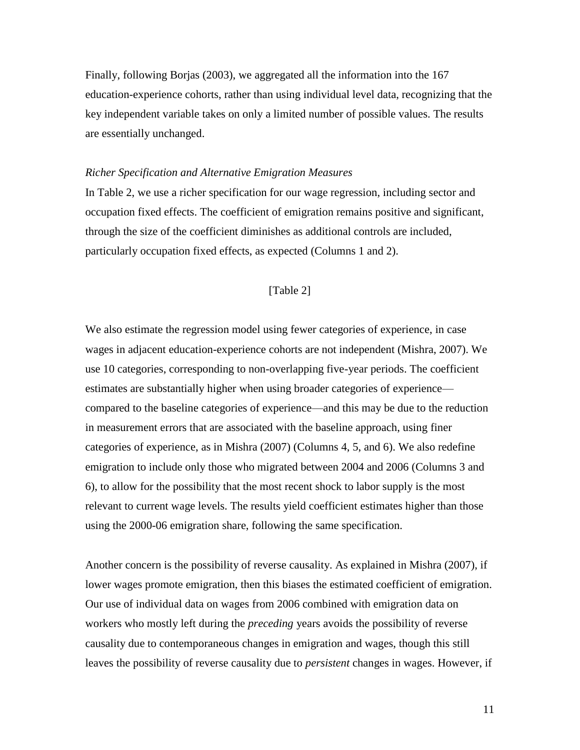Finally, following Borjas (2003), we aggregated all the information into the 167 education-experience cohorts, rather than using individual level data, recognizing that the key independent variable takes on only a limited number of possible values. The results are essentially unchanged.

#### *Richer Specification and Alternative Emigration Measures*

In Table 2, we use a richer specification for our wage regression, including sector and occupation fixed effects. The coefficient of emigration remains positive and significant, through the size of the coefficient diminishes as additional controls are included, particularly occupation fixed effects, as expected (Columns 1 and 2).

## [Table 2]

We also estimate the regression model using fewer categories of experience, in case wages in adjacent education-experience cohorts are not independent (Mishra, 2007). We use 10 categories, corresponding to non-overlapping five-year periods. The coefficient estimates are substantially higher when using broader categories of experience compared to the baseline categories of experience—and this may be due to the reduction in measurement errors that are associated with the baseline approach, using finer categories of experience, as in Mishra (2007) (Columns 4, 5, and 6). We also redefine emigration to include only those who migrated between 2004 and 2006 (Columns 3 and 6), to allow for the possibility that the most recent shock to labor supply is the most relevant to current wage levels. The results yield coefficient estimates higher than those using the 2000-06 emigration share, following the same specification.

Another concern is the possibility of reverse causality. As explained in Mishra (2007), if lower wages promote emigration, then this biases the estimated coefficient of emigration. Our use of individual data on wages from 2006 combined with emigration data on workers who mostly left during the *preceding* years avoids the possibility of reverse causality due to contemporaneous changes in emigration and wages, though this still leaves the possibility of reverse causality due to *persistent* changes in wages. However, if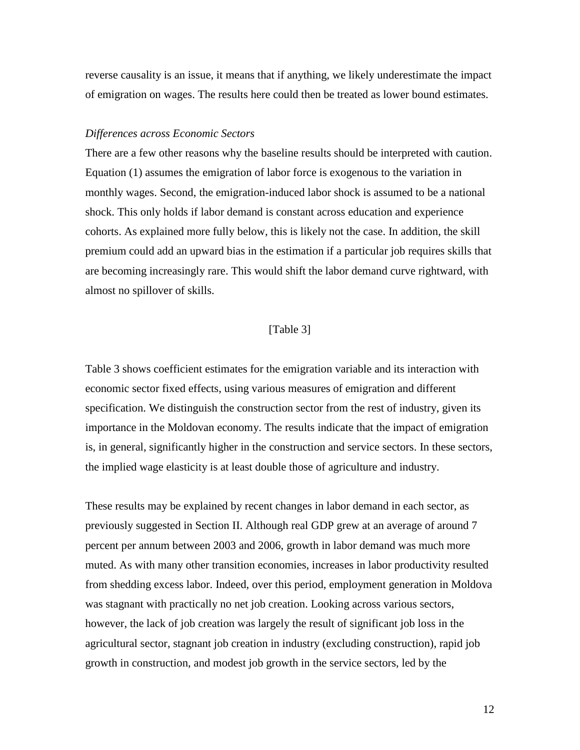reverse causality is an issue, it means that if anything, we likely underestimate the impact of emigration on wages. The results here could then be treated as lower bound estimates.

#### *Differences across Economic Sectors*

There are a few other reasons why the baseline results should be interpreted with caution. Equation (1) assumes the emigration of labor force is exogenous to the variation in monthly wages. Second, the emigration-induced labor shock is assumed to be a national shock. This only holds if labor demand is constant across education and experience cohorts. As explained more fully below, this is likely not the case. In addition, the skill premium could add an upward bias in the estimation if a particular job requires skills that are becoming increasingly rare. This would shift the labor demand curve rightward, with almost no spillover of skills.

## [Table 3]

Table 3 shows coefficient estimates for the emigration variable and its interaction with economic sector fixed effects, using various measures of emigration and different specification. We distinguish the construction sector from the rest of industry, given its importance in the Moldovan economy. The results indicate that the impact of emigration is, in general, significantly higher in the construction and service sectors. In these sectors, the implied wage elasticity is at least double those of agriculture and industry.

These results may be explained by recent changes in labor demand in each sector, as previously suggested in Section II. Although real GDP grew at an average of around 7 percent per annum between 2003 and 2006, growth in labor demand was much more muted. As with many other transition economies, increases in labor productivity resulted from shedding excess labor. Indeed, over this period, employment generation in Moldova was stagnant with practically no net job creation. Looking across various sectors, however, the lack of job creation was largely the result of significant job loss in the agricultural sector, stagnant job creation in industry (excluding construction), rapid job growth in construction, and modest job growth in the service sectors, led by the

12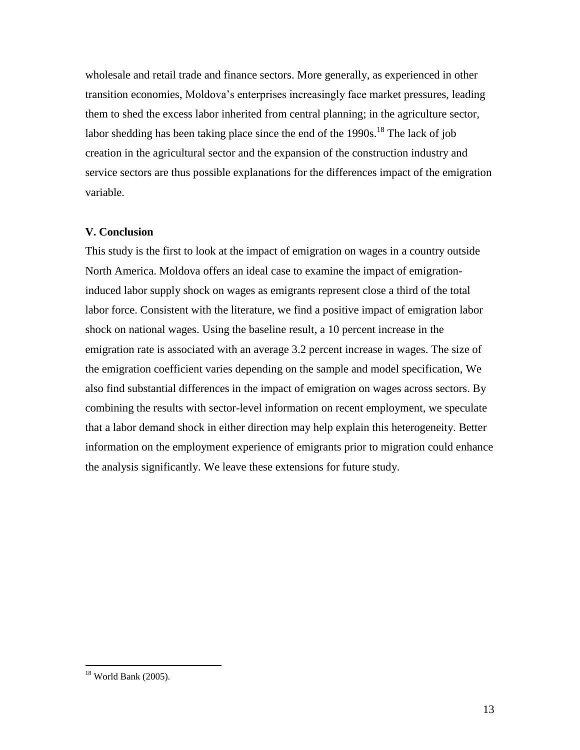wholesale and retail trade and finance sectors. More generally, as experienced in other transition economies, Moldova's enterprises increasingly face market pressures, leading them to shed the excess labor inherited from central planning; in the agriculture sector, labor shedding has been taking place since the end of the  $1990s$ .<sup>18</sup> The lack of job creation in the agricultural sector and the expansion of the construction industry and service sectors are thus possible explanations for the differences impact of the emigration variable.

#### **V. Conclusion**

This study is the first to look at the impact of emigration on wages in a country outside North America. Moldova offers an ideal case to examine the impact of emigrationinduced labor supply shock on wages as emigrants represent close a third of the total labor force. Consistent with the literature, we find a positive impact of emigration labor shock on national wages. Using the baseline result, a 10 percent increase in the emigration rate is associated with an average 3.2 percent increase in wages. The size of the emigration coefficient varies depending on the sample and model specification, We also find substantial differences in the impact of emigration on wages across sectors. By combining the results with sector-level information on recent employment, we speculate that a labor demand shock in either direction may help explain this heterogeneity. Better information on the employment experience of emigrants prior to migration could enhance the analysis significantly. We leave these extensions for future study.

 $18$  World Bank (2005).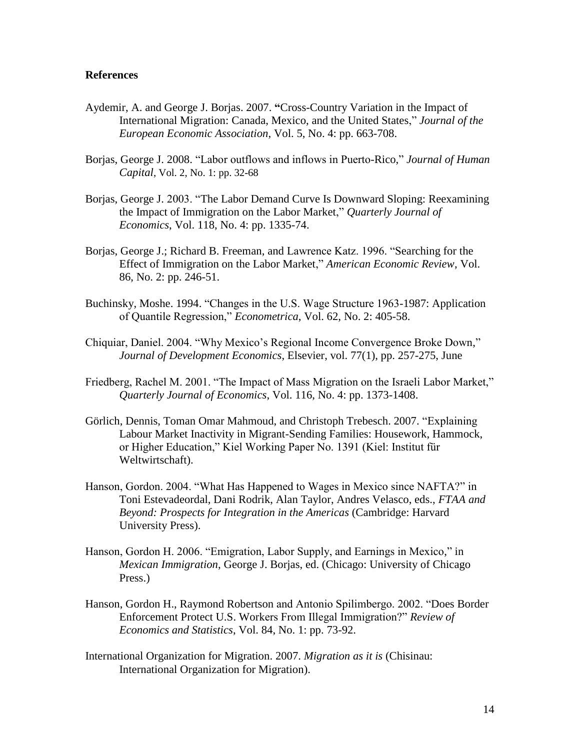## **References**

- Aydemir, A. and George J. Borjas. 2007. **"**Cross-Country Variation in the Impact of International Migration: Canada, Mexico, and the United States," *Journal of the European Economic Association*, Vol. 5, No. 4: pp. 663-708.
- Borjas, George J. 2008. "Labor outflows and inflows in Puerto-Rico," *Journal of Human Capital*, Vol. 2, No. 1: pp. 32-68
- Borjas, George J. 2003. "The Labor Demand Curve Is Downward Sloping: Reexamining the Impact of Immigration on the Labor Market,‖ *Quarterly Journal of Economics*, Vol. 118, No. 4: pp. 1335-74.
- Borjas, George J.; Richard B. Freeman, and Lawrence Katz. 1996. "Searching for the Effect of Immigration on the Labor Market," American Economic Review, Vol. 86, No. 2: pp. 246-51.
- Buchinsky, Moshe. 1994. "Changes in the U.S. Wage Structure 1963-1987: Application of Quantile Regression," *Econometrica*, Vol. 62, No. 2: 405-58.
- Chiquiar, Daniel. 2004. "Why Mexico's Regional Income Convergence Broke Down," *Journal of Development Economics*, Elsevier, vol. 77(1), pp. 257-275, June
- Friedberg, Rachel M. 2001. "The Impact of Mass Migration on the Israeli Labor Market," *Quarterly Journal of Economics*, Vol. 116, No. 4: pp. 1373-1408.
- Görlich, Dennis, Toman Omar Mahmoud, and Christoph Trebesch. 2007. "Explaining Labour Market Inactivity in Migrant-Sending Families: Housework, Hammock, or Higher Education," Kiel Working Paper No. 1391 (Kiel: Institut für Weltwirtschaft).
- Hanson, Gordon. 2004. "What Has Happened to Wages in Mexico since NAFTA?" in Toni Estevadeordal, Dani Rodrik, Alan Taylor, Andres Velasco, eds., *FTAA and Beyond: Prospects for Integration in the Americas* (Cambridge: Harvard University Press).
- Hanson, Gordon H. 2006. "Emigration, Labor Supply, and Earnings in Mexico," in *Mexican Immigration*, George J. Borjas, ed. (Chicago: University of Chicago Press.)
- Hanson, Gordon H., Raymond Robertson and Antonio Spilimbergo. 2002. "Does Border Enforcement Protect U.S. Workers From Illegal Immigration?" *Review of Economics and Statistics*, Vol. 84, No. 1: pp. 73-92.
- International Organization for Migration. 2007. *Migration as it is* (Chisinau: International Organization for Migration).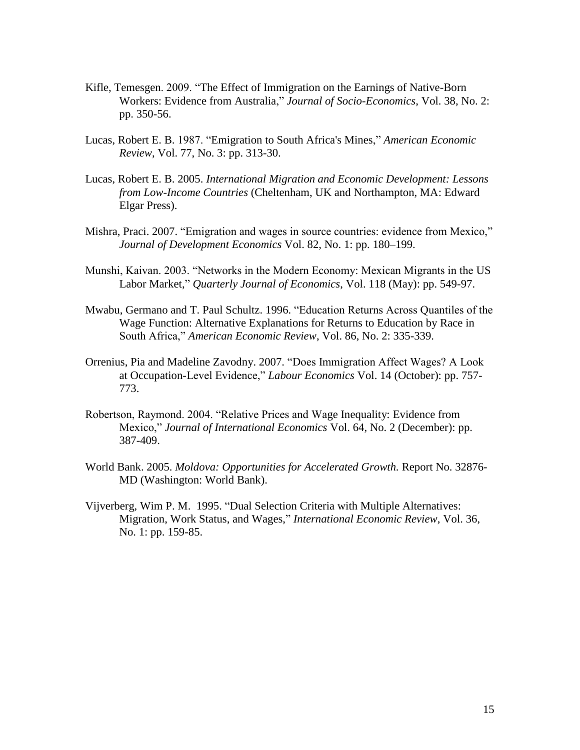- Kifle, Temesgen. 2009. "The Effect of Immigration on the Earnings of Native-Born Workers: Evidence from Australia," *Journal of Socio-Economics*, Vol. 38, No. 2: pp. 350-56.
- Lucas, Robert E. B. 1987. "Emigration to South Africa's Mines," *American Economic Review*, Vol. 77, No. 3: pp. 313-30.
- Lucas, Robert E. B. 2005. *International Migration and Economic Development: Lessons from Low-Income Countries* (Cheltenham, UK and Northampton, MA: Edward Elgar Press).
- Mishra, Praci. 2007. "Emigration and wages in source countries: evidence from Mexico," *Journal of Development Economics* Vol. 82, No. 1: pp. 180–199.
- Munshi, Kaivan. 2003. "Networks in the Modern Economy: Mexican Migrants in the US Labor Market," *Quarterly Journal of Economics*, Vol. 118 (May): pp. 549-97.
- Mwabu, Germano and T. Paul Schultz. 1996. "Education Returns Across Quantiles of the Wage Function: Alternative Explanations for Returns to Education by Race in South Africa," *American Economic Review*, Vol. 86, No. 2: 335-339.
- Orrenius, Pia and Madeline Zavodny. 2007. "Does Immigration Affect Wages? A Look at Occupation-Level Evidence," *Labour Economics* Vol. 14 (October): pp. 757-773.
- Robertson, Raymond. 2004. "Relative Prices and Wage Inequality: Evidence from Mexico," *Journal of International Economics* Vol. 64, No. 2 (December): pp. 387-409.
- World Bank. 2005. *Moldova: Opportunities for Accelerated Growth.* Report No. 32876- MD (Washington: World Bank).
- Vijverberg, Wim P. M. 1995. "Dual Selection Criteria with Multiple Alternatives: Migration, Work Status, and Wages," *International Economic Review*, Vol. 36, No. 1: pp. 159-85.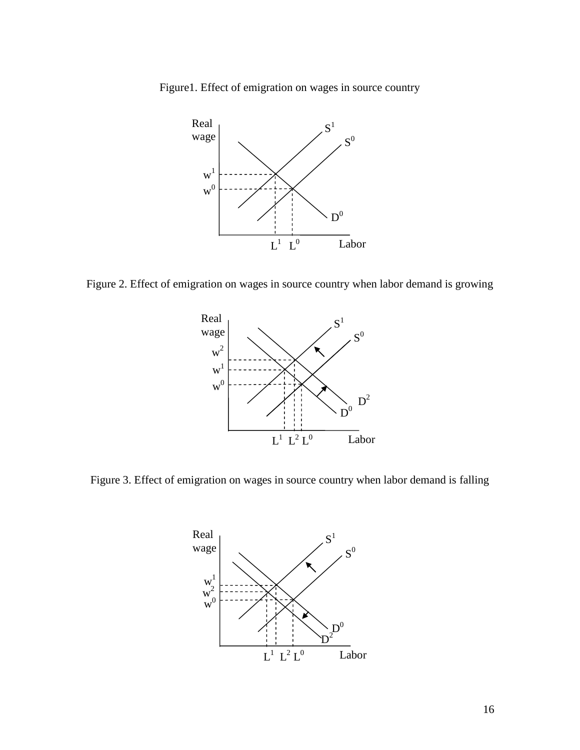Figure1. Effect of emigration on wages in source country



Figure 2. Effect of emigration on wages in source country when labor demand is growing



Figure 3. Effect of emigration on wages in source country when labor demand is falling

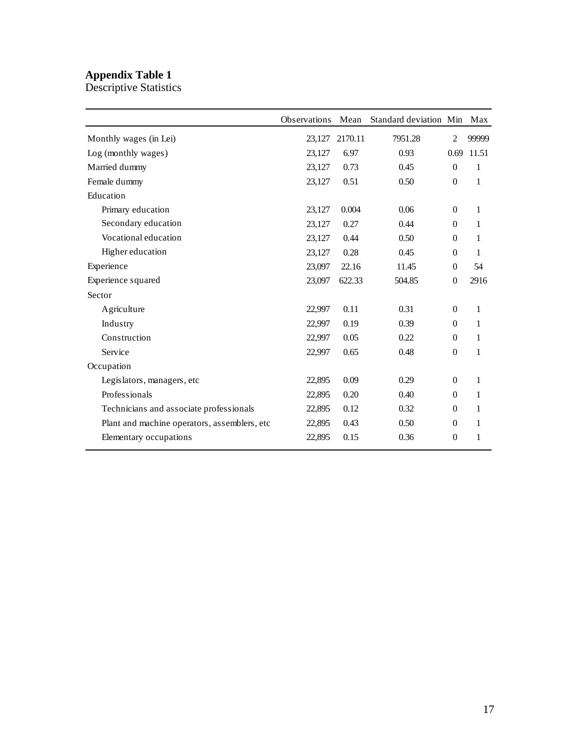## **Appendix Table 1**

Descriptive Statistics

|                                              | <b>Observations</b> | Mean    | Standard deviation Min |                | Max          |
|----------------------------------------------|---------------------|---------|------------------------|----------------|--------------|
| Monthly wages (in Lei)                       | 23,127              | 2170.11 | 7951.28                | 2              | 99999        |
| Log (monthly wages)                          | 23,127              | 6.97    | 0.93                   | 0.69           | 11.51        |
| Married dummy                                | 23,127              | 0.73    | 0.45                   | $\Omega$       | 1            |
| Female dummy                                 | 23,127              | 0.51    | 0.50                   | $\Omega$       | $\mathbf{1}$ |
| Education                                    |                     |         |                        |                |              |
| Primary education                            | 23,127              | 0.004   | 0.06                   | $\overline{0}$ | 1            |
| Secondary education                          | 23,127              | 0.27    | 0.44                   | $\Omega$       | 1            |
| Vocational education                         | 23,127              | 0.44    | 0.50                   | $\overline{0}$ | 1            |
| Higher education                             | 23,127              | 0.28    | 0.45                   | $\Omega$       | 1            |
| Experience                                   | 23,097              | 22.16   | 11.45                  | $\theta$       | 54           |
| Experience squared                           | 23,097              | 622.33  | 504.85                 | $\overline{0}$ | 2916         |
| Sector                                       |                     |         |                        |                |              |
| Agriculture                                  | 22,997              | 0.11    | 0.31                   | $\overline{0}$ | 1            |
| Industry                                     | 22,997              | 0.19    | 0.39                   | $\Omega$       | 1            |
| Construction                                 | 22,997              | 0.05    | 0.22                   | $\Omega$       | 1            |
| Service                                      | 22,997              | 0.65    | 0.48                   | $\Omega$       | 1            |
| Occupation                                   |                     |         |                        |                |              |
| Legislators, managers, etc                   | 22,895              | 0.09    | 0.29                   | $\Omega$       | $\mathbf{1}$ |
| Professionals                                | 22,895              | 0.20    | 0.40                   | $\Omega$       | 1            |
| Technicians and associate professionals      | 22,895              | 0.12    | 0.32                   | $\overline{0}$ | 1            |
| Plant and machine operators, assemblers, etc | 22,895              | 0.43    | 0.50                   | $\overline{0}$ | 1            |
| Elementary occupations                       | 22,895              | 0.15    | 0.36                   | $\overline{0}$ | 1            |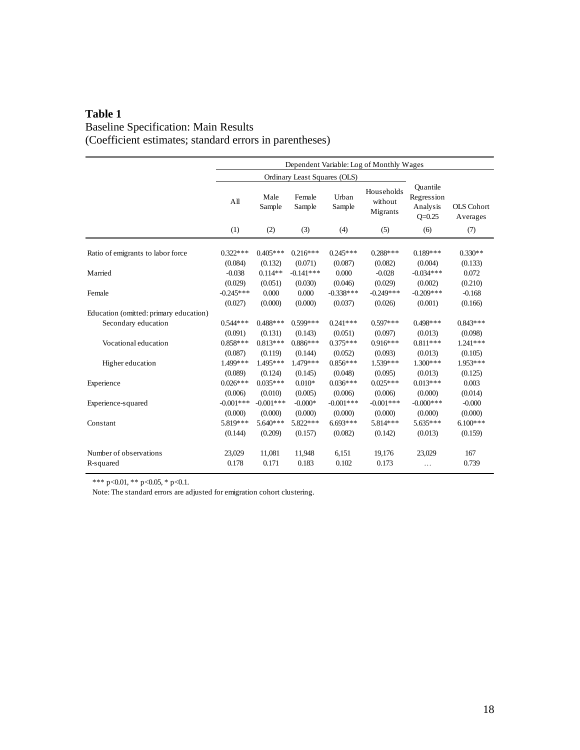## **Table 1** Baseline Specification: Main Results (Coefficient estimates; standard errors in parentheses)

|                                        | Dependent Variable: Log of Monthly Wages |                       |                        |                        |                                   |                                                  |                               |
|----------------------------------------|------------------------------------------|-----------------------|------------------------|------------------------|-----------------------------------|--------------------------------------------------|-------------------------------|
|                                        | Ordinary Least Squares (OLS)             |                       |                        |                        |                                   |                                                  |                               |
|                                        | A <sub>II</sub>                          | Male<br>Sample        | Female<br>Sample       | Urban<br>Sample        | Households<br>without<br>Migrants | Ouantile<br>Regression<br>Analysis<br>$O = 0.25$ | <b>OLS</b> Cohort<br>Averages |
|                                        | (1)                                      | (2)                   | (3)                    | (4)                    | (5)                               | (6)                                              | (7)                           |
| Ratio of emigrants to labor force      | $0.322***$<br>(0.084)                    | $0.405***$<br>(0.132) | $0.216***$<br>(0.071)  | $0.245***$<br>(0.087)  | $0.288***$<br>(0.082)             | $0.189***$<br>(0.004)                            | $0.330**$<br>(0.133)          |
| Married                                | $-0.038$<br>(0.029)                      | $0.114**$<br>(0.051)  | $-0.141***$<br>(0.030) | 0.000<br>(0.046)       | $-0.028$<br>(0.029)               | $-0.034***$<br>(0.002)                           | 0.072<br>(0.210)              |
| Female                                 | $-0.245***$<br>(0.027)                   | 0.000<br>(0.000)      | 0.000<br>(0.000)       | $-0.338***$<br>(0.037) | $-0.249***$<br>(0.026)            | $-0.209$ ***<br>(0.001)                          | $-0.168$<br>(0.166)           |
| Education (omitted: primary education) |                                          |                       |                        |                        |                                   |                                                  |                               |
| Secondary education                    | $0.544***$                               | $0.488***$            | $0.599***$             | $0.241***$             | $0.597***$                        | $0.498***$                                       | $0.843***$                    |
|                                        | (0.091)                                  | (0.131)               | (0.143)                | (0.051)                | (0.097)                           | (0.013)                                          | (0.098)                       |
| Vocational education                   | $0.858***$                               | $0.813***$            | $0.886***$             | $0.375***$             | $0.916***$                        | $0.811***$                                       | $1.241***$                    |
|                                        | (0.087)                                  | (0.119)               | (0.144)                | (0.052)                | (0.093)                           | (0.013)                                          | (0.105)                       |
| Higher education                       | 1.499***                                 | $1.495***$            | 1.479***               | $0.856***$             | $1.539***$                        | $1.300***$                                       | 1.953***                      |
|                                        | (0.089)                                  | (0.124)               | (0.145)                | (0.048)                | (0.095)                           | (0.013)                                          | (0.125)                       |
| Experience                             | $0.026***$                               | $0.035***$            | $0.010*$               | $0.036***$             | $0.025***$                        | $0.013***$                                       | 0.003                         |
|                                        | (0.006)                                  | (0.010)               | (0.005)                | (0.006)                | (0.006)                           | (0.000)                                          | (0.014)                       |
| Experience-squared                     | $-0.001***$                              | $-0.001***$           | $-0.000*$              | $-0.001***$            | $-0.001***$                       | $-0.000$ ***                                     | $-0.000$                      |
|                                        | (0.000)                                  | (0.000)               | (0.000)                | (0.000)                | (0.000)                           | (0.000)                                          | (0.000)                       |
| Constant                               | 5.819***                                 | $5.640***$            | 5.822***               | $6.693***$             | 5.814 ***                         | $5.635***$                                       | $6.100***$                    |
|                                        | (0.144)                                  | (0.209)               | (0.157)                | (0.082)                | (0.142)                           | (0.013)                                          | (0.159)                       |
| Number of observations                 | 23,029                                   | 11,081                | 11,948                 | 6,151                  | 19,176                            | 23.029                                           | 167                           |
| R-squared                              | 0.178                                    | 0.171                 | 0.183                  | 0.102                  | 0.173                             | $\cdots$                                         | 0.739                         |

\*\*\* p<0.01, \*\* p<0.05, \* p<0.1.

Note: The standard errors are adjusted for emigration cohort clustering.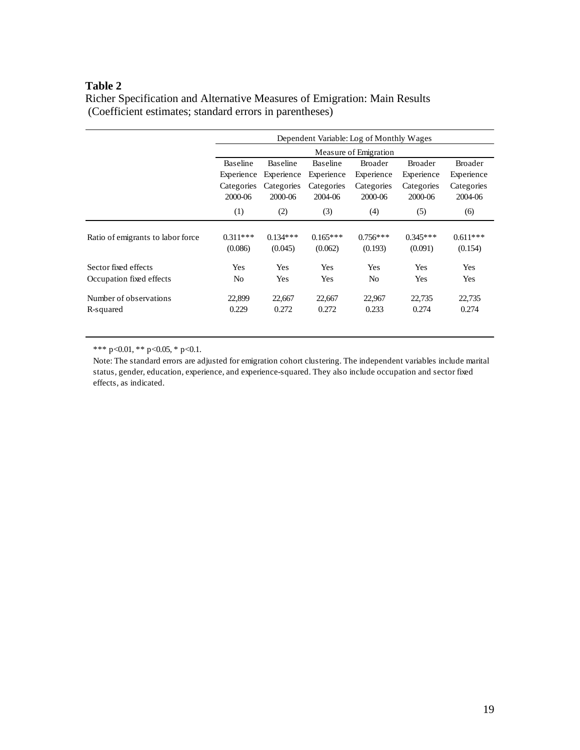## **Table 2**

| Richer Specification and Alternative Measures of Emigration: Main Results |  |
|---------------------------------------------------------------------------|--|
| (Coefficient estimates; standard errors in parentheses)                   |  |

|                                   | Dependent Variable: Log of Monthly Wages<br>Measure of Emigration |                 |                 |                |                |                |  |  |
|-----------------------------------|-------------------------------------------------------------------|-----------------|-----------------|----------------|----------------|----------------|--|--|
|                                   |                                                                   |                 |                 |                |                |                |  |  |
|                                   | <b>Baseline</b>                                                   | <b>Baseline</b> | <b>Baseline</b> | <b>Broader</b> | <b>Broader</b> | <b>Broader</b> |  |  |
|                                   | Experience                                                        | Experience      | Experience      | Experience     | Experience     | Experience     |  |  |
|                                   | Categories                                                        | Categories      | Categories      | Categories     | Categories     | Categories     |  |  |
|                                   | 2000-06                                                           | 2000-06         | 2004-06         | 2000-06        | 2000-06        | 2004-06        |  |  |
|                                   | (1)                                                               | (2)             | (3)             | (4)            | (5)            | (6)            |  |  |
| Ratio of emigrants to labor force | $0.311***$                                                        | $0.134***$      | $0.165***$      | $0.756***$     | $0.345***$     | $0.611***$     |  |  |
|                                   | (0.086)                                                           | (0.045)         | (0.062)         | (0.193)        | (0.091)        | (0.154)        |  |  |
| Sector fixed effects              | Yes                                                               | Yes             | Yes             | Yes            | <b>Yes</b>     | Yes            |  |  |
| Occupation fixed effects          | N <sub>o</sub>                                                    | Yes             | Yes             | No             | Yes            | Yes            |  |  |
| Number of observations            | 22,899                                                            | 22,667          | 22,667          | 22,967         | 22,735         | 22,735         |  |  |
| R-squared                         | 0.229                                                             | 0.272           | 0.272           | 0.233          | 0.274          | 0.274          |  |  |

\*\*\* p<0.01, \*\* p<0.05, \* p<0.1.

Note: The standard errors are adjusted for emigration cohort clustering. The independent variables include marital status, gender, education, experience, and experience-squared. They also include occupation and sector fixed effects, as indicated.